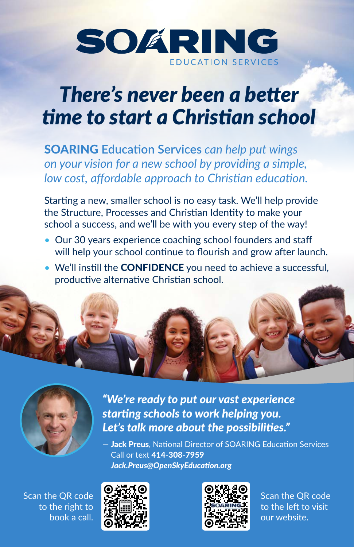

## *There's never been a better time to start a Christian school*

SOARING **Education Services** *can help put wings on your vision for a new school by providing a simple, low cost, affordable approach to Christian education.*

Starting a new, smaller school is no easy task. We'll help provide the Structure, Processes and Christian Identity to make your school a success, and we'll be with you every step of the way!

- Our 30 years experience coaching school founders and staff will help your school continue to flourish and grow after launch.
- We'll instill the **CONFIDENCE** you need to achieve a successful, productive alternative Christian school.





*"We're ready to put our vast experience starting schools to work helping you. Let's talk more about the possibilities."* 

– Jack Preus, National Director of SOARING Education Services Call or text 414-308-7959 *Jack.Preus@OpenSkyEducation.org*

Scan the QR code to the right to book a call.





Scan the QR code to the left to visit our website.